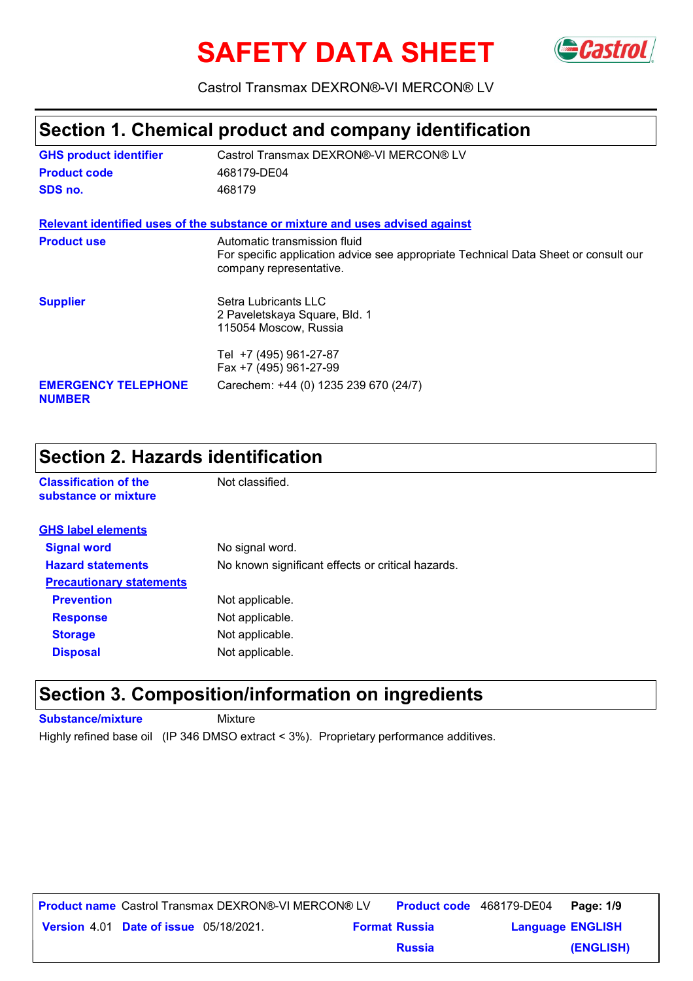# **SAFETY DATA SHEET** GCastrol



Castrol Transmax DEXRON®-VI MERCON® LV

### **Section 1. Chemical product and company identification**

| <b>GHS product identifier</b>               | Castrol Transmax DEXRON®-VI MERCON® LV                                                                                                         |
|---------------------------------------------|------------------------------------------------------------------------------------------------------------------------------------------------|
| <b>Product code</b>                         | 468179-DE04                                                                                                                                    |
| SDS no.                                     | 468179                                                                                                                                         |
|                                             | Relevant identified uses of the substance or mixture and uses advised against                                                                  |
| <b>Product use</b>                          | Automatic transmission fluid<br>For specific application advice see appropriate Technical Data Sheet or consult our<br>company representative. |
| <b>Supplier</b>                             | Setra Lubricants LLC<br>2 Paveletskaya Square, Bld. 1<br>115054 Moscow, Russia                                                                 |
|                                             | Tel +7 (495) 961-27-87<br>Fax +7 (495) 961-27-99                                                                                               |
| <b>EMERGENCY TELEPHONE</b><br><b>NUMBER</b> | Carechem: +44 (0) 1235 239 670 (24/7)                                                                                                          |

### **Section 2. Hazards identification**

| Not classified.                                   |
|---------------------------------------------------|
|                                                   |
| No signal word.                                   |
| No known significant effects or critical hazards. |
|                                                   |
| Not applicable.                                   |
| Not applicable.                                   |
| Not applicable.                                   |
| Not applicable.                                   |
|                                                   |

### **Section 3. Composition/information on ingredients**

#### **Substance/mixture** Mixture

Highly refined base oil (IP 346 DMSO extract < 3%). Proprietary performance additives.

|                                               | <b>Product name</b> Castrol Transmax DEXRON®-VI MERCON® LV |                      |               | <b>Product code</b> 468179-DE04 | Page: 1/9 |
|-----------------------------------------------|------------------------------------------------------------|----------------------|---------------|---------------------------------|-----------|
| <b>Version 4.01 Date of issue 05/18/2021.</b> |                                                            | <b>Format Russia</b> |               | <b>Language ENGLISH</b>         |           |
|                                               |                                                            |                      | <b>Russia</b> |                                 | (ENGLISH) |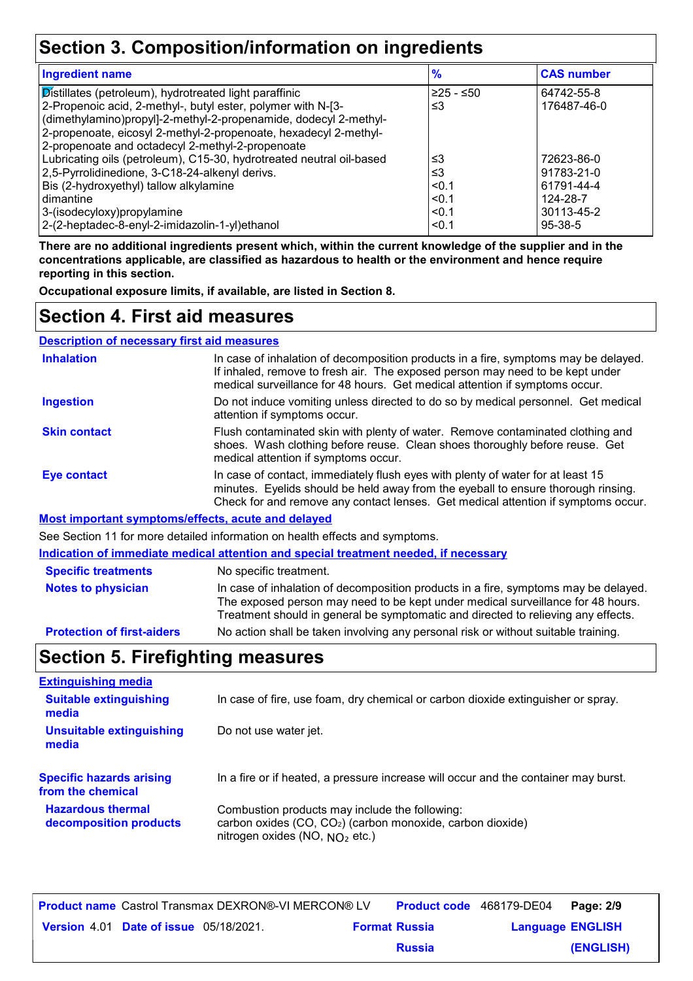# **Section 3. Composition/information on ingredients**

| <b>Ingredient name</b>                                               | $\%$      | <b>CAS number</b> |
|----------------------------------------------------------------------|-----------|-------------------|
| Distillates (petroleum), hydrotreated light paraffinic               | ≥25 - ≤50 | 64742-55-8        |
| 2-Propenoic acid, 2-methyl-, butyl ester, polymer with N-[3-         | ≤3        | 176487-46-0       |
| (dimethylamino)propyl]-2-methyl-2-propenamide, dodecyl 2-methyl-     |           |                   |
| 2-propenoate, eicosyl 2-methyl-2-propenoate, hexadecyl 2-methyl-     |           |                   |
| 2-propenoate and octadecyl 2-methyl-2-propenoate                     |           |                   |
| Lubricating oils (petroleum), C15-30, hydrotreated neutral oil-based | ≤3        | 72623-86-0        |
| 2,5-Pyrrolidinedione, 3-C18-24-alkenyl derivs.                       | ≤3        | 91783-21-0        |
| Bis (2-hydroxyethyl) tallow alkylamine                               | < 0.1     | 61791-44-4        |
| dimantine                                                            | < 0.1     | 124-28-7          |
| 3-(isodecyloxy)propylamine                                           | < 0.1     | 30113-45-2        |
| 2-(2-heptadec-8-enyl-2-imidazolin-1-yl)ethanol                       | < 0.1     | $95 - 38 - 5$     |

**There are no additional ingredients present which, within the current knowledge of the supplier and in the concentrations applicable, are classified as hazardous to health or the environment and hence require reporting in this section.**

**Occupational exposure limits, if available, are listed in Section 8.**

### **Section 4. First aid measures**

| <b>Description of necessary first aid measures</b> |                                                                                                                                                                                                                                                           |
|----------------------------------------------------|-----------------------------------------------------------------------------------------------------------------------------------------------------------------------------------------------------------------------------------------------------------|
| <b>Inhalation</b>                                  | In case of inhalation of decomposition products in a fire, symptoms may be delayed.<br>If inhaled, remove to fresh air. The exposed person may need to be kept under<br>medical surveillance for 48 hours. Get medical attention if symptoms occur.       |
| <b>Ingestion</b>                                   | Do not induce vomiting unless directed to do so by medical personnel. Get medical<br>attention if symptoms occur.                                                                                                                                         |
| <b>Skin contact</b>                                | Flush contaminated skin with plenty of water. Remove contaminated clothing and<br>shoes. Wash clothing before reuse. Clean shoes thoroughly before reuse. Get<br>medical attention if symptoms occur.                                                     |
| <b>Eye contact</b>                                 | In case of contact, immediately flush eyes with plenty of water for at least 15<br>minutes. Eyelids should be held away from the eyeball to ensure thorough rinsing.<br>Check for and remove any contact lenses. Get medical attention if symptoms occur. |
|                                                    | Most important symptoms/effects, acute and delayed                                                                                                                                                                                                        |
|                                                    | See Section 11 for more detailed information on health effects and symptoms.                                                                                                                                                                              |
|                                                    | Indication of immediate medical attention and special treatment needed, if necessary                                                                                                                                                                      |
| <b>Specific treatments</b>                         | No specific treatment                                                                                                                                                                                                                                     |

| <b>Specific treatments</b>        | No specific treatment.                                                                                                                                                                                                                                      |
|-----------------------------------|-------------------------------------------------------------------------------------------------------------------------------------------------------------------------------------------------------------------------------------------------------------|
| Notes to physician                | In case of inhalation of decomposition products in a fire, symptoms may be delayed.<br>The exposed person may need to be kept under medical surveillance for 48 hours.<br>Treatment should in general be symptomatic and directed to relieving any effects. |
| <b>Protection of first-aiders</b> | No action shall be taken involving any personal risk or without suitable training.                                                                                                                                                                          |

# **Section 5. Firefighting measures**

| <b>Extinguishing media</b>                           |                                                                                                                                                              |
|------------------------------------------------------|--------------------------------------------------------------------------------------------------------------------------------------------------------------|
| <b>Suitable extinguishing</b><br>media               | In case of fire, use foam, dry chemical or carbon dioxide extinguisher or spray.                                                                             |
| <b>Unsuitable extinguishing</b><br>media             | Do not use water jet.                                                                                                                                        |
| <b>Specific hazards arising</b><br>from the chemical | In a fire or if heated, a pressure increase will occur and the container may burst.                                                                          |
| <b>Hazardous thermal</b><br>decomposition products   | Combustion products may include the following:<br>carbon oxides (CO, CO <sub>2</sub> ) (carbon monoxide, carbon dioxide)<br>nitrogen oxides (NO, $NO2$ etc.) |

|                                               | <b>Product name</b> Castrol Transmax DEXRON®-VI MERCON® LV |                      | <b>Product code</b> 468179-DE04 Page: 2/9 |           |
|-----------------------------------------------|------------------------------------------------------------|----------------------|-------------------------------------------|-----------|
| <b>Version 4.01 Date of issue 05/18/2021.</b> |                                                            | <b>Format Russia</b> | <b>Language ENGLISH</b>                   |           |
|                                               |                                                            | <b>Russia</b>        |                                           | (ENGLISH) |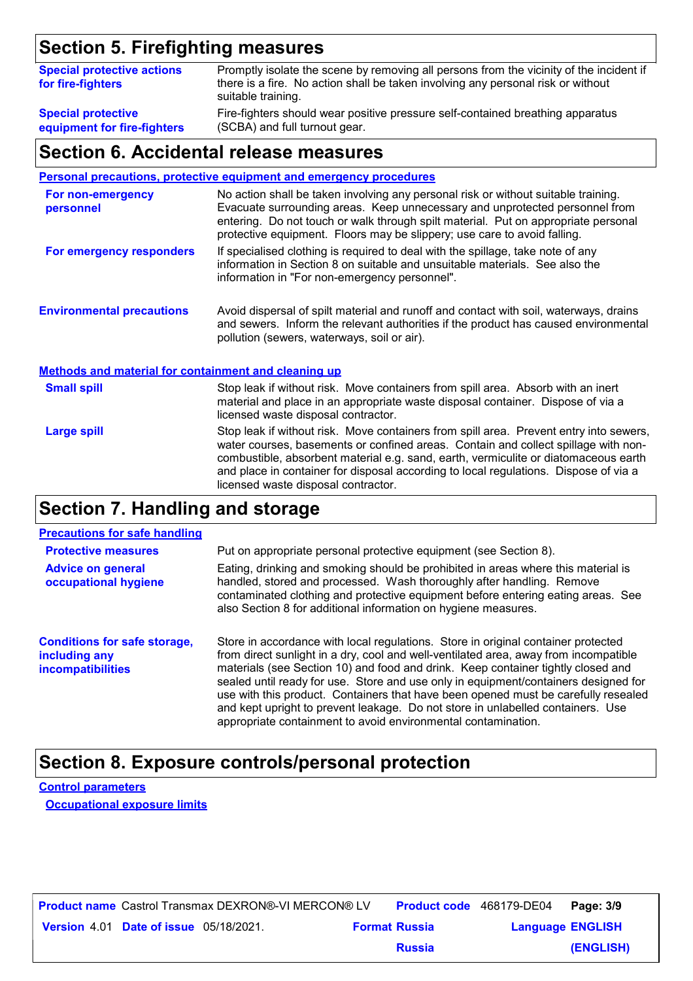# **Section 5. Firefighting measures**

| <b>Special protective actions</b><br>for fire-fighters | Promptly isolate the scene by removing all persons from the vicinity of the incident if<br>there is a fire. No action shall be taken involving any personal risk or without<br>suitable training. |
|--------------------------------------------------------|---------------------------------------------------------------------------------------------------------------------------------------------------------------------------------------------------|
| <b>Special protective</b>                              | Fire-fighters should wear positive pressure self-contained breathing apparatus                                                                                                                    |
| equipment for fire-fighters                            | (SCBA) and full turnout gear.                                                                                                                                                                     |

### **Section 6. Accidental release measures**

#### **Personal precautions, protective equipment and emergency procedures**

| For non-emergency<br>personnel                              | No action shall be taken involving any personal risk or without suitable training.<br>Evacuate surrounding areas. Keep unnecessary and unprotected personnel from<br>entering. Do not touch or walk through spilt material. Put on appropriate personal<br>protective equipment. Floors may be slippery; use care to avoid falling.                                                                |
|-------------------------------------------------------------|----------------------------------------------------------------------------------------------------------------------------------------------------------------------------------------------------------------------------------------------------------------------------------------------------------------------------------------------------------------------------------------------------|
| For emergency responders                                    | If specialised clothing is required to deal with the spillage, take note of any<br>information in Section 8 on suitable and unsuitable materials. See also the<br>information in "For non-emergency personnel".                                                                                                                                                                                    |
| <b>Environmental precautions</b>                            | Avoid dispersal of spilt material and runoff and contact with soil, waterways, drains<br>and sewers. Inform the relevant authorities if the product has caused environmental<br>pollution (sewers, waterways, soil or air).                                                                                                                                                                        |
| <b>Methods and material for containment and cleaning up</b> |                                                                                                                                                                                                                                                                                                                                                                                                    |
| <b>Small spill</b>                                          | Stop leak if without risk. Move containers from spill area. Absorb with an inert<br>material and place in an appropriate waste disposal container. Dispose of via a<br>licensed waste disposal contractor.                                                                                                                                                                                         |
| <b>Large spill</b>                                          | Stop leak if without risk. Move containers from spill area. Prevent entry into sewers,<br>water courses, basements or confined areas. Contain and collect spillage with non-<br>combustible, absorbent material e.g. sand, earth, vermiculite or diatomaceous earth<br>and place in container for disposal according to local regulations. Dispose of via a<br>licensed waste disposal contractor. |

# **Section 7. Handling and storage**

#### **Precautions for safe handling**

| <b>Protective measures</b>                                                       | Put on appropriate personal protective equipment (see Section 8).                                                                                                                                                                                                                                                                                    |
|----------------------------------------------------------------------------------|------------------------------------------------------------------------------------------------------------------------------------------------------------------------------------------------------------------------------------------------------------------------------------------------------------------------------------------------------|
| <b>Advice on general</b><br>occupational hygiene                                 | Eating, drinking and smoking should be prohibited in areas where this material is<br>handled, stored and processed. Wash thoroughly after handling. Remove<br>contaminated clothing and protective equipment before entering eating areas. See<br>also Section 8 for additional information on hygiene measures.                                     |
| <b>Conditions for safe storage,</b><br>including any<br><b>incompatibilities</b> | Store in accordance with local regulations. Store in original container protected<br>from direct sunlight in a dry, cool and well-ventilated area, away from incompatible<br>materials (see Section 10) and food and drink. Keep container tightly closed and<br>sealed until ready for use. Store and use only in equipment/containers designed for |
|                                                                                  | use with this product. Containers that have been opened must be carefully resealed<br>and kept upright to prevent leakage. Do not store in unlabelled containers. Use<br>appropriate containment to avoid environmental contamination.                                                                                                               |

### **Section 8. Exposure controls/personal protection**

**Control parameters**

**Occupational exposure limits**

|                                               | <b>Product name</b> Castrol Transmax DEXRON®-VI MERCON® LV | <b>Product code</b> 468179-DE04 |                         | Page: 3/9 |
|-----------------------------------------------|------------------------------------------------------------|---------------------------------|-------------------------|-----------|
| <b>Version 4.01 Date of issue 05/18/2021.</b> |                                                            | <b>Format Russia</b>            | <b>Language ENGLISH</b> |           |
|                                               |                                                            | <b>Russia</b>                   |                         | (ENGLISH) |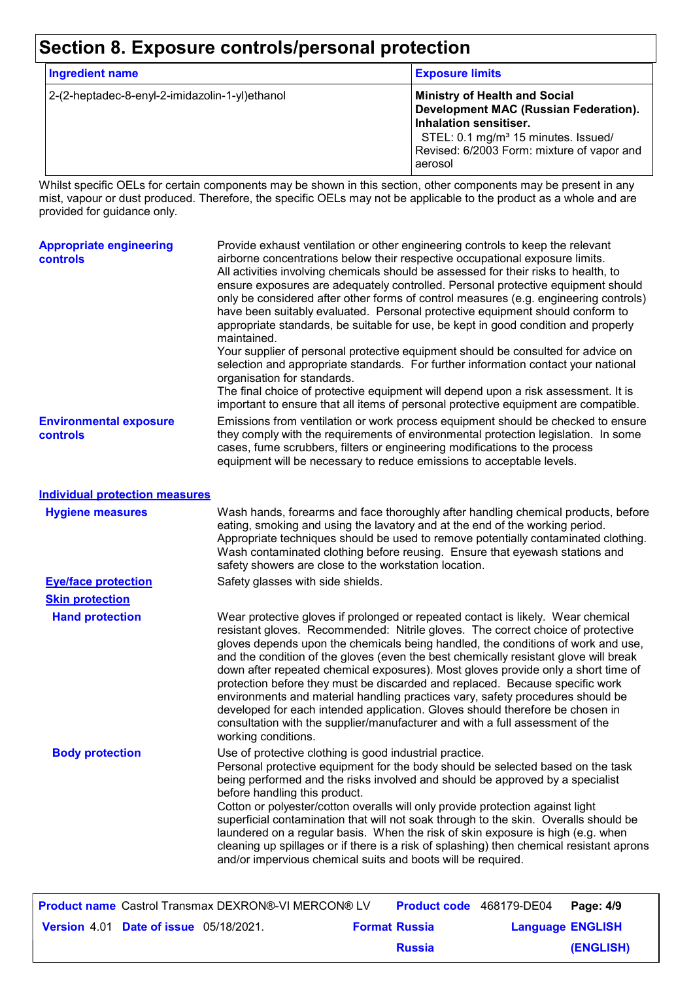# **Section 8. Exposure controls/personal protection**

| <b>Ingredient name</b>                         | <b>Exposure limits</b>                                                                                                                                                                                              |
|------------------------------------------------|---------------------------------------------------------------------------------------------------------------------------------------------------------------------------------------------------------------------|
| 2-(2-heptadec-8-enyl-2-imidazolin-1-yl)ethanol | <b>Ministry of Health and Social</b><br>Development MAC (Russian Federation).<br>Inhalation sensitiser.<br>STEL: 0.1 mg/m <sup>3</sup> 15 minutes. Issued/<br>Revised: 6/2003 Form: mixture of vapor and<br>aerosol |

Whilst specific OELs for certain components may be shown in this section, other components may be present in any mist, vapour or dust produced. Therefore, the specific OELs may not be applicable to the product as a whole and are provided for guidance only.

| <b>Appropriate engineering</b><br><b>controls</b>          | Provide exhaust ventilation or other engineering controls to keep the relevant<br>airborne concentrations below their respective occupational exposure limits.<br>All activities involving chemicals should be assessed for their risks to health, to<br>ensure exposures are adequately controlled. Personal protective equipment should<br>only be considered after other forms of control measures (e.g. engineering controls)<br>have been suitably evaluated. Personal protective equipment should conform to<br>appropriate standards, be suitable for use, be kept in good condition and properly<br>maintained.<br>Your supplier of personal protective equipment should be consulted for advice on<br>selection and appropriate standards. For further information contact your national<br>organisation for standards.<br>The final choice of protective equipment will depend upon a risk assessment. It is<br>important to ensure that all items of personal protective equipment are compatible. |
|------------------------------------------------------------|---------------------------------------------------------------------------------------------------------------------------------------------------------------------------------------------------------------------------------------------------------------------------------------------------------------------------------------------------------------------------------------------------------------------------------------------------------------------------------------------------------------------------------------------------------------------------------------------------------------------------------------------------------------------------------------------------------------------------------------------------------------------------------------------------------------------------------------------------------------------------------------------------------------------------------------------------------------------------------------------------------------|
| <b>Environmental exposure</b><br><b>controls</b>           | Emissions from ventilation or work process equipment should be checked to ensure<br>they comply with the requirements of environmental protection legislation. In some<br>cases, fume scrubbers, filters or engineering modifications to the process<br>equipment will be necessary to reduce emissions to acceptable levels.                                                                                                                                                                                                                                                                                                                                                                                                                                                                                                                                                                                                                                                                                 |
| <b>Individual protection measures</b>                      |                                                                                                                                                                                                                                                                                                                                                                                                                                                                                                                                                                                                                                                                                                                                                                                                                                                                                                                                                                                                               |
| <b>Hygiene measures</b>                                    | Wash hands, forearms and face thoroughly after handling chemical products, before<br>eating, smoking and using the lavatory and at the end of the working period.<br>Appropriate techniques should be used to remove potentially contaminated clothing.<br>Wash contaminated clothing before reusing. Ensure that eyewash stations and<br>safety showers are close to the workstation location.                                                                                                                                                                                                                                                                                                                                                                                                                                                                                                                                                                                                               |
| <b>Eye/face protection</b>                                 | Safety glasses with side shields.                                                                                                                                                                                                                                                                                                                                                                                                                                                                                                                                                                                                                                                                                                                                                                                                                                                                                                                                                                             |
| <b>Skin protection</b>                                     |                                                                                                                                                                                                                                                                                                                                                                                                                                                                                                                                                                                                                                                                                                                                                                                                                                                                                                                                                                                                               |
| <b>Hand protection</b>                                     | Wear protective gloves if prolonged or repeated contact is likely. Wear chemical<br>resistant gloves. Recommended: Nitrile gloves. The correct choice of protective<br>gloves depends upon the chemicals being handled, the conditions of work and use,<br>and the condition of the gloves (even the best chemically resistant glove will break<br>down after repeated chemical exposures). Most gloves provide only a short time of<br>protection before they must be discarded and replaced. Because specific work<br>environments and material handling practices vary, safety procedures should be<br>developed for each intended application. Gloves should therefore be chosen in<br>consultation with the supplier/manufacturer and with a full assessment of the<br>working conditions.                                                                                                                                                                                                               |
| <b>Body protection</b>                                     | Use of protective clothing is good industrial practice.<br>Personal protective equipment for the body should be selected based on the task<br>being performed and the risks involved and should be approved by a specialist<br>before handling this product.<br>Cotton or polyester/cotton overalls will only provide protection against light<br>superficial contamination that will not soak through to the skin. Overalls should be<br>laundered on a regular basis. When the risk of skin exposure is high (e.g. when<br>cleaning up spillages or if there is a risk of splashing) then chemical resistant aprons<br>and/or impervious chemical suits and boots will be required.                                                                                                                                                                                                                                                                                                                         |
| <b>Product name Castrol Transmax DEXRON®-VI MERCON® LV</b> | Product code 468179-DE04<br>Page: 4/9                                                                                                                                                                                                                                                                                                                                                                                                                                                                                                                                                                                                                                                                                                                                                                                                                                                                                                                                                                         |
| Version 4.01 Date of issue 05/18/2021.                     | <b>Format Russia</b><br><b>Language ENGLISH</b>                                                                                                                                                                                                                                                                                                                                                                                                                                                                                                                                                                                                                                                                                                                                                                                                                                                                                                                                                               |

**Russia**

**(ENGLISH)**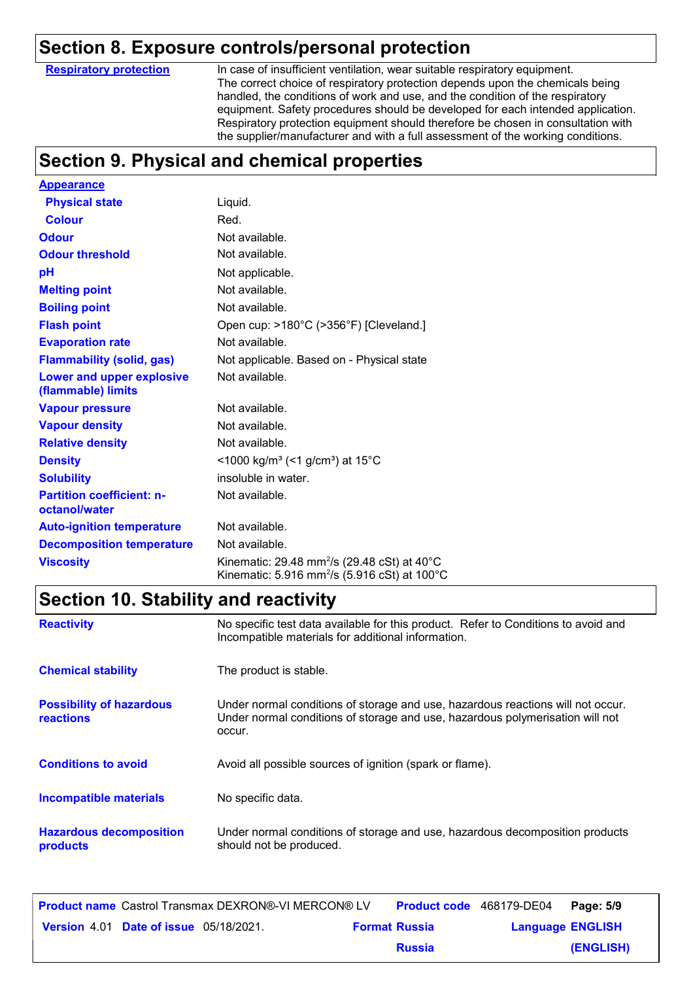### **Section 8. Exposure controls/personal protection**

**Respiratory protection**

In case of insufficient ventilation, wear suitable respiratory equipment. The correct choice of respiratory protection depends upon the chemicals being handled, the conditions of work and use, and the condition of the respiratory equipment. Safety procedures should be developed for each intended application. Respiratory protection equipment should therefore be chosen in consultation with the supplier/manufacturer and with a full assessment of the working conditions.

# **Section 9. Physical and chemical properties**

| <b>Appearance</b>                                 |                                                                                                                                          |
|---------------------------------------------------|------------------------------------------------------------------------------------------------------------------------------------------|
| <b>Physical state</b>                             | Liquid.                                                                                                                                  |
| <b>Colour</b>                                     | Red.                                                                                                                                     |
| <b>Odour</b>                                      | Not available.                                                                                                                           |
| <b>Odour threshold</b>                            | Not available.                                                                                                                           |
| рH                                                | Not applicable.                                                                                                                          |
| <b>Melting point</b>                              | Not available.                                                                                                                           |
| <b>Boiling point</b>                              | Not available.                                                                                                                           |
| <b>Flash point</b>                                | Open cup: >180°C (>356°F) [Cleveland.]                                                                                                   |
| <b>Evaporation rate</b>                           | Not available.                                                                                                                           |
| <b>Flammability (solid, gas)</b>                  | Not applicable. Based on - Physical state                                                                                                |
| Lower and upper explosive<br>(flammable) limits   | Not available.                                                                                                                           |
| <b>Vapour pressure</b>                            | Not available.                                                                                                                           |
| <b>Vapour density</b>                             | Not available.                                                                                                                           |
| <b>Relative density</b>                           | Not available.                                                                                                                           |
| <b>Density</b>                                    | <1000 kg/m <sup>3</sup> (<1 g/cm <sup>3</sup> ) at 15°C                                                                                  |
| <b>Solubility</b>                                 | insoluble in water.                                                                                                                      |
| <b>Partition coefficient: n-</b><br>octanol/water | Not available.                                                                                                                           |
| <b>Auto-ignition temperature</b>                  | Not available.                                                                                                                           |
| <b>Decomposition temperature</b>                  | Not available.                                                                                                                           |
| <b>Viscosity</b>                                  | Kinematic: 29.48 mm <sup>2</sup> /s (29.48 cSt) at $40^{\circ}$ C<br>Kinematic: 5.916 mm <sup>2</sup> /s (5.916 cSt) at 100 $^{\circ}$ C |

# **Section 10. Stability and reactivity**

| <b>Reactivity</b>                                   | No specific test data available for this product. Refer to Conditions to avoid and<br>Incompatible materials for additional information.                                   |  |  |  |
|-----------------------------------------------------|----------------------------------------------------------------------------------------------------------------------------------------------------------------------------|--|--|--|
| <b>Chemical stability</b>                           | The product is stable.                                                                                                                                                     |  |  |  |
| <b>Possibility of hazardous</b><br><b>reactions</b> | Under normal conditions of storage and use, hazardous reactions will not occur.<br>Under normal conditions of storage and use, hazardous polymerisation will not<br>occur. |  |  |  |
| <b>Conditions to avoid</b>                          | Avoid all possible sources of ignition (spark or flame).                                                                                                                   |  |  |  |
| <b>Incompatible materials</b>                       | No specific data.                                                                                                                                                          |  |  |  |
| <b>Hazardous decomposition</b><br>products          | Under normal conditions of storage and use, hazardous decomposition products<br>should not be produced.                                                                    |  |  |  |

|                                               | <b>Product name</b> Castrol Transmax DEXRON®-VI MERCON® LV |                      | <b>Product code</b> 468179-DE04 Page: 5/9 |           |
|-----------------------------------------------|------------------------------------------------------------|----------------------|-------------------------------------------|-----------|
| <b>Version 4.01 Date of issue 05/18/2021.</b> |                                                            | <b>Format Russia</b> | <b>Language ENGLISH</b>                   |           |
|                                               |                                                            | <b>Russia</b>        |                                           | (ENGLISH) |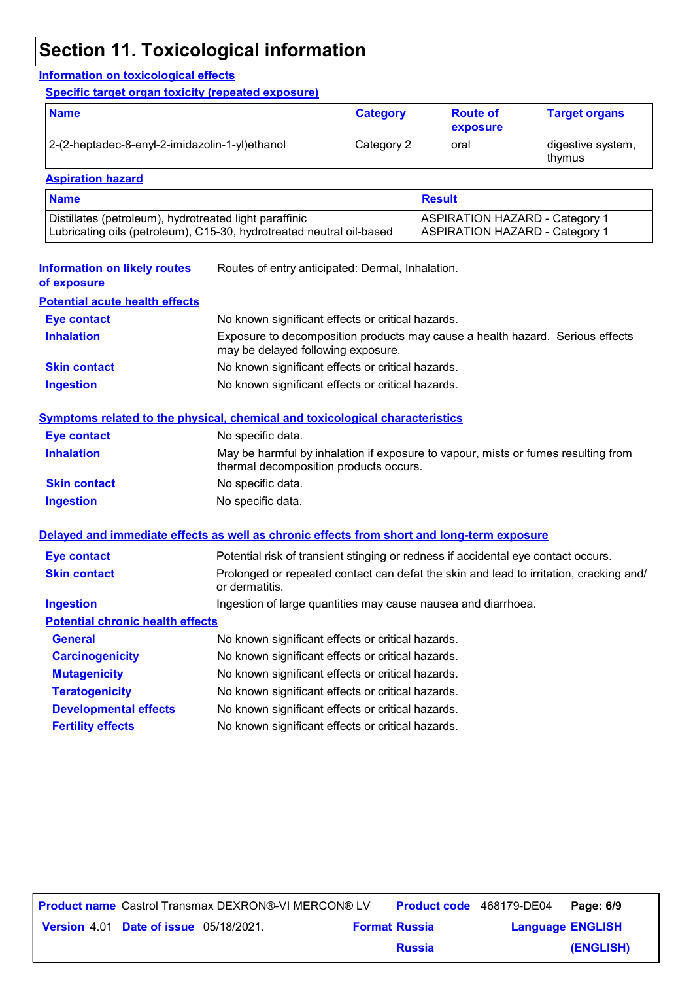# **Section 11. Toxicological information**

#### **Information on toxicological effects**

**Specific target organ toxicity (repeated exposure)**

| <b>Name</b>                                    | <b>Category</b> | <b>Route of</b><br>exposure | <b>Target organs</b>        |
|------------------------------------------------|-----------------|-----------------------------|-----------------------------|
| 2-(2-heptadec-8-enyl-2-imidazolin-1-yl)ethanol | Category 2      | oral                        | digestive system,<br>thymus |
| <b>Aspiration hazard</b>                       |                 |                             |                             |

| <b>Name</b>                                                            | <b>Result</b>                         |
|------------------------------------------------------------------------|---------------------------------------|
| Distillates (petroleum), hydrotreated light paraffinic                 | <b>ASPIRATION HAZARD - Category 1</b> |
| I Lubricating oils (petroleum), C15-30, hydrotreated neutral oil-based | <b>ASPIRATION HAZARD - Category 1</b> |

| <b>Information on likely routes</b><br>of exposure | Routes of entry anticipated: Dermal, Inhalation.                                                                    |
|----------------------------------------------------|---------------------------------------------------------------------------------------------------------------------|
| <b>Potential acute health effects</b>              |                                                                                                                     |
| <b>Eye contact</b>                                 | No known significant effects or critical hazards.                                                                   |
| <b>Inhalation</b>                                  | Exposure to decomposition products may cause a health hazard. Serious effects<br>may be delayed following exposure. |
| <b>Skin contact</b>                                | No known significant effects or critical hazards.                                                                   |
| <b>Ingestion</b>                                   | No known significant effects or critical hazards.                                                                   |
|                                                    | Symptome related to the physical chemical and toxicological characteristics                                         |

#### **Symptoms related to the physical, chemical and toxicological characteristics Skin contact Inhalation** May be harmful by inhalation if exposure to vapour, mists or fumes resulting from thermal decomposition products occurs. No specific data. **Eye contact** No specific data.

#### **Ingestion** No specific data.

#### **Delayed and immediate effects as well as chronic effects from short and long-term exposure**

| <b>Eye contact</b>                      | Potential risk of transient stinging or redness if accidental eye contact occurs.                        |
|-----------------------------------------|----------------------------------------------------------------------------------------------------------|
| <b>Skin contact</b>                     | Prolonged or repeated contact can defat the skin and lead to irritation, cracking and/<br>or dermatitis. |
| <b>Ingestion</b>                        | Ingestion of large quantities may cause nausea and diarrhoea.                                            |
| <b>Potential chronic health effects</b> |                                                                                                          |
| <b>General</b>                          | No known significant effects or critical hazards.                                                        |
| <b>Carcinogenicity</b>                  | No known significant effects or critical hazards.                                                        |
| <b>Mutagenicity</b>                     | No known significant effects or critical hazards.                                                        |
| <b>Teratogenicity</b>                   | No known significant effects or critical hazards.                                                        |
| <b>Developmental effects</b>            | No known significant effects or critical hazards.                                                        |
| <b>Fertility effects</b>                | No known significant effects or critical hazards.                                                        |

|                                               |  | <b>Product name</b> Castrol Transmax DEXRON®-VI MERCON® LV |                      | <b>Product code</b> 468179-DE04 Page: 6/9 |           |
|-----------------------------------------------|--|------------------------------------------------------------|----------------------|-------------------------------------------|-----------|
| <b>Version 4.01 Date of issue 05/18/2021.</b> |  |                                                            | <b>Format Russia</b> | <b>Language ENGLISH</b>                   |           |
|                                               |  |                                                            | <b>Russia</b>        |                                           | (ENGLISH) |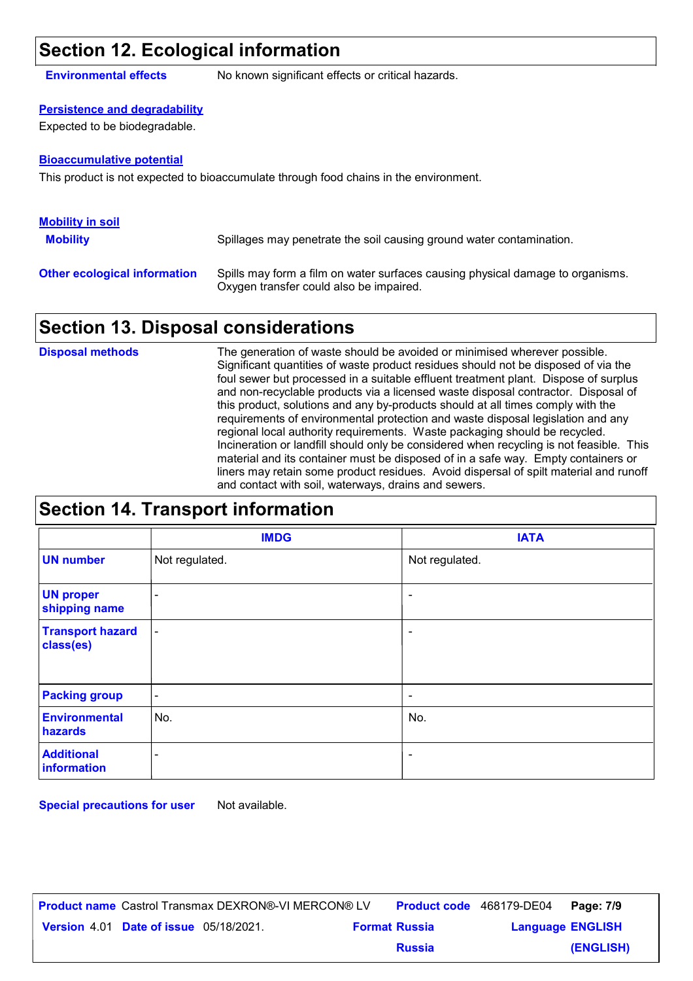### **Section 12. Ecological information**

**Environmental effects** No known significant effects or critical hazards.

#### **Persistence and degradability**

Expected to be biodegradable.

#### **Bioaccumulative potential**

This product is not expected to bioaccumulate through food chains in the environment.

| <b>Mobility in soil</b>             |                                                                                                                           |
|-------------------------------------|---------------------------------------------------------------------------------------------------------------------------|
| <b>Mobility</b>                     | Spillages may penetrate the soil causing ground water contamination.                                                      |
| <b>Other ecological information</b> | Spills may form a film on water surfaces causing physical damage to organisms.<br>Oxygen transfer could also be impaired. |

### **Section 13. Disposal considerations**

The generation of waste should be avoided or minimised wherever possible. Significant quantities of waste product residues should not be disposed of via the foul sewer but processed in a suitable effluent treatment plant. Dispose of surplus and non-recyclable products via a licensed waste disposal contractor. Disposal of this product, solutions and any by-products should at all times comply with the requirements of environmental protection and waste disposal legislation and any regional local authority requirements. Waste packaging should be recycled. Incineration or landfill should only be considered when recycling is not feasible. This material and its container must be disposed of in a safe way. Empty containers or liners may retain some product residues. Avoid dispersal of spilt material and runoff and contact with soil, waterways, drains and sewers. **Disposal methods**

| <b>Section 14. Transport information</b> |  |
|------------------------------------------|--|
|------------------------------------------|--|

|                                      | <b>IMDG</b>              | <b>IATA</b>              |
|--------------------------------------|--------------------------|--------------------------|
| <b>UN number</b>                     | Not regulated.           | Not regulated.           |
| <b>UN proper</b><br>shipping name    | $\overline{\phantom{a}}$ | $\overline{\phantom{a}}$ |
| <b>Transport hazard</b><br>class(es) | $\overline{\phantom{a}}$ | $\overline{\phantom{a}}$ |
| <b>Packing group</b>                 | $\overline{\phantom{a}}$ | $\overline{\phantom{a}}$ |
| <b>Environmental</b><br>hazards      | No.                      | No.                      |
| <b>Additional</b><br>information     | -                        | $\overline{\phantom{a}}$ |

**Special precautions for user** Not available.

|                                               | <b>Product name</b> Castrol Transmax DEXRON®-VI MERCON® LV |                      | <b>Product code</b> 468179-DE04 Page: 7/9 |           |
|-----------------------------------------------|------------------------------------------------------------|----------------------|-------------------------------------------|-----------|
| <b>Version 4.01 Date of issue 05/18/2021.</b> |                                                            | <b>Format Russia</b> | <b>Language ENGLISH</b>                   |           |
|                                               |                                                            | <b>Russia</b>        |                                           | (ENGLISH) |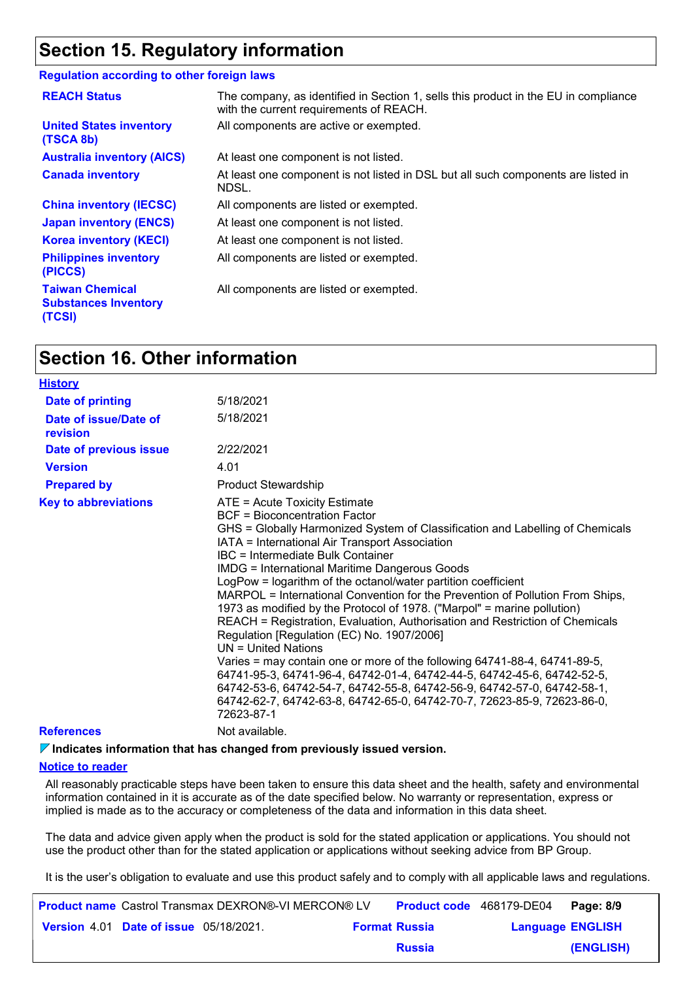### **Section 15. Regulatory information**

#### **Regulation according to other foreign laws**

| <b>REACH Status</b>                                             | The company, as identified in Section 1, sells this product in the EU in compliance<br>with the current requirements of REACH. |
|-----------------------------------------------------------------|--------------------------------------------------------------------------------------------------------------------------------|
| <b>United States inventory</b><br>(TSCA 8b)                     | All components are active or exempted.                                                                                         |
| <b>Australia inventory (AICS)</b>                               | At least one component is not listed.                                                                                          |
| <b>Canada inventory</b>                                         | At least one component is not listed in DSL but all such components are listed in<br>NDSL.                                     |
| <b>China inventory (IECSC)</b>                                  | All components are listed or exempted.                                                                                         |
| <b>Japan inventory (ENCS)</b>                                   | At least one component is not listed.                                                                                          |
| <b>Korea inventory (KECI)</b>                                   | At least one component is not listed.                                                                                          |
| <b>Philippines inventory</b><br>(PICCS)                         | All components are listed or exempted.                                                                                         |
| <b>Taiwan Chemical</b><br><b>Substances Inventory</b><br>(TCSI) | All components are listed or exempted.                                                                                         |

### **Section 16. Other information**

| <b>History</b>                    |                                                                                                                                                                                                                                                                                                                                                                                                                                                                                                                                                                                                                                                                                                                                                                                                                                                                                                                                                                                                                |
|-----------------------------------|----------------------------------------------------------------------------------------------------------------------------------------------------------------------------------------------------------------------------------------------------------------------------------------------------------------------------------------------------------------------------------------------------------------------------------------------------------------------------------------------------------------------------------------------------------------------------------------------------------------------------------------------------------------------------------------------------------------------------------------------------------------------------------------------------------------------------------------------------------------------------------------------------------------------------------------------------------------------------------------------------------------|
| <b>Date of printing</b>           | 5/18/2021                                                                                                                                                                                                                                                                                                                                                                                                                                                                                                                                                                                                                                                                                                                                                                                                                                                                                                                                                                                                      |
| Date of issue/Date of<br>revision | 5/18/2021                                                                                                                                                                                                                                                                                                                                                                                                                                                                                                                                                                                                                                                                                                                                                                                                                                                                                                                                                                                                      |
| Date of previous issue            | 2/22/2021                                                                                                                                                                                                                                                                                                                                                                                                                                                                                                                                                                                                                                                                                                                                                                                                                                                                                                                                                                                                      |
| <b>Version</b>                    | 4.01                                                                                                                                                                                                                                                                                                                                                                                                                                                                                                                                                                                                                                                                                                                                                                                                                                                                                                                                                                                                           |
| <b>Prepared by</b>                | <b>Product Stewardship</b>                                                                                                                                                                                                                                                                                                                                                                                                                                                                                                                                                                                                                                                                                                                                                                                                                                                                                                                                                                                     |
| <b>Key to abbreviations</b>       | ATE = Acute Toxicity Estimate<br>BCF = Bioconcentration Factor<br>GHS = Globally Harmonized System of Classification and Labelling of Chemicals<br>IATA = International Air Transport Association<br>IBC = Intermediate Bulk Container<br><b>IMDG = International Maritime Dangerous Goods</b><br>LogPow = logarithm of the octanol/water partition coefficient<br>MARPOL = International Convention for the Prevention of Pollution From Ships,<br>1973 as modified by the Protocol of 1978. ("Marpol" = marine pollution)<br>REACH = Registration, Evaluation, Authorisation and Restriction of Chemicals<br>Regulation [Regulation (EC) No. 1907/2006]<br>$UN = United Nations$<br>Varies = may contain one or more of the following 64741-88-4, 64741-89-5,<br>64741-95-3, 64741-96-4, 64742-01-4, 64742-44-5, 64742-45-6, 64742-52-5,<br>64742-53-6, 64742-54-7, 64742-55-8, 64742-56-9, 64742-57-0, 64742-58-1,<br>64742-62-7, 64742-63-8, 64742-65-0, 64742-70-7, 72623-85-9, 72623-86-0,<br>72623-87-1 |
| <b>References</b>                 | Not available.                                                                                                                                                                                                                                                                                                                                                                                                                                                                                                                                                                                                                                                                                                                                                                                                                                                                                                                                                                                                 |

**Indicates information that has changed from previously issued version.**

#### **Notice to reader**

All reasonably practicable steps have been taken to ensure this data sheet and the health, safety and environmental information contained in it is accurate as of the date specified below. No warranty or representation, express or implied is made as to the accuracy or completeness of the data and information in this data sheet.

The data and advice given apply when the product is sold for the stated application or applications. You should not use the product other than for the stated application or applications without seeking advice from BP Group.

It is the user's obligation to evaluate and use this product safely and to comply with all applicable laws and regulations.

|                                               | <b>Product name</b> Castrol Transmax DEXRON®-VI MERCON® LV |                      |               | <b>Product code</b> 468179-DE04 Page: 8/9 |           |
|-----------------------------------------------|------------------------------------------------------------|----------------------|---------------|-------------------------------------------|-----------|
| <b>Version 4.01 Date of issue 05/18/2021.</b> |                                                            | <b>Format Russia</b> |               | <b>Language ENGLISH</b>                   |           |
|                                               |                                                            |                      | <b>Russia</b> |                                           | (ENGLISH) |